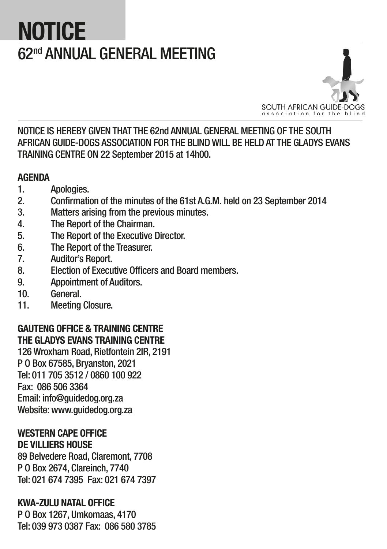# **NOTICE** 62nd ANNUAL GENERAL MEETING



NOTICE IS HEREBY GIVEN THAT THE 62nd ANNUAL GENERAL MEETING OF THE SOUTH AFRICAN GUIDE-DOGS ASSOCIATION FOR THE BLIND WILL BE HELD AT THE GLADYS EVANS TRAINING CENTRE ON 22 September 2015 at 14h00.

### **AGENDA**

- 1. Apologies.
- 2. Confirmation of the minutes of the 61st A.G.M. held on 23 September 2014
- 3. Matters arising from the previous minutes.
- 4. The Report of the Chairman.
- 5. The Report of the Executive Director.
- 6. The Report of the Treasurer.
- 7. Auditor's Report.
- 8. Election of Executive Officers and Board members.
- 9. Appointment of Auditors.
- 10. General.
- 11. Meeting Closure.

### GAUTENG OFFICE & TRAINING CENTRE THE GLADYS EVANS TRAINING CENTRE

126 Wroxham Road, Rietfontein 2IR, 2191 P O Box 67585, Bryanston, 2021 Tel: 011 705 3512 / 0860 100 922 Fax: 086 506 3364 Email: info@guidedog.org.za Website: www.guidedog.org.za

#### WESTERN CAPE OFFICE DE VILLIERS HOUSE

89 Belvedere Road, Claremont, 7708 P O Box 2674, Clareinch, 7740 Tel: 021 674 7395 Fax: 021 674 7397

### KWA-ZULU NATAL OFFICE

P O Box 1267, Umkomaas, 4170 Tel: 039 973 0387 Fax: 086 580 3785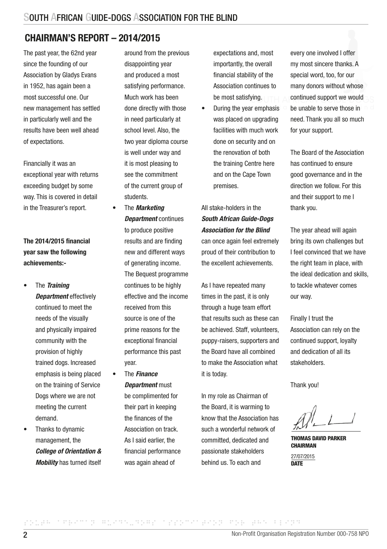### CHAIRMAN'S REPORT – 2014/2015

The past year, the 62nd year since the founding of our Association by Gladys Evans in 1952, has again been a most successful one. Our new management has settled in particularly well and the results have been well ahead of expectations.

Financially it was an exceptional year with returns exceeding budget by some way. This is covered in detail in the Treasurer's report.

The 2014/2015 financial year saw the following achievements:-

- The *Training Department* effectively continued to meet the needs of the visually and physically impaired community with the provision of highly trained dogs. Increased emphasis is being placed on the training of Service Dogs where we are not meeting the current demand.
- Thanks to dynamic management, the *College of Orientation & Mobility* has turned itself

around from the previous disappointing year and produced a most satisfying performance. Much work has been done directly with those in need particularly at school level. Also, the two year diploma course is well under way and it is most pleasing to see the commitment of the current group of students.

- The *Marketing Department* continues to produce positive results and are finding new and different ways of generating income. The Bequest programme continues to be highly effective and the income received from this source is one of the prime reasons for the exceptional financial performance this past year.
- The *Finance Department* must be complimented for their part in keeping the finances of the Association on track. As I said earlier, the financial performance was again ahead of

expectations and, most importantly, the overall financial stability of the Association continues to be most satisfying.

• During the year emphasis was placed on upgrading facilities with much work done on security and on the renovation of both the training Centre here and on the Cape Town premises.

All stake-holders in the *South African Guide-Dogs Association for the Blind* can once again feel extremely proud of their contribution to the excellent achievements.

As I have repeated many times in the past, it is only through a huge team effort that results such as these can be achieved. Staff, volunteers, puppy-raisers, supporters and the Board have all combined to make the Association what it is today.

In my role as Chairman of the Board, it is warming to know that the Association has such a wonderful network of committed, dedicated and passionate stakeholders behind us. To each and

every one involved I offer my most sincere thanks. A special word, too, for our many donors without whose continued support we would be unable to serve those in need. Thank you all so much for your support.

The Board of the Association has continued to ensure good governance and in the direction we follow. For this and their support to me I thank you.

The year ahead will again bring its own challenges but I feel convinced that we have the right team in place, with the ideal dedication and skills, to tackle whatever comes our way.

Finally I trust the Association can rely on the continued support, loyalty and dedication of all its stakeholders.

Thank you!

THOMAS DAVID PARKER CHAIRMAN

27/07/2015 **DATE**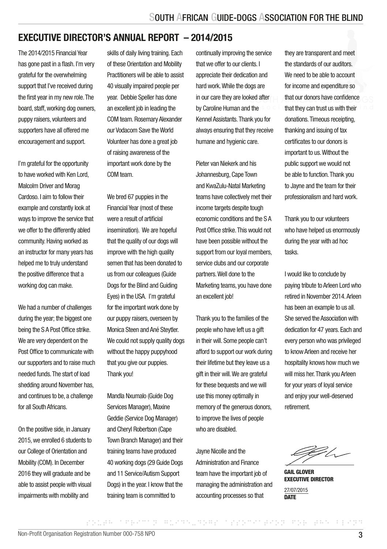### EXECUTIVE DIRECTOR'S ANNUAL REPORT – 2014/2015

The 2014/2015 Financial Year has gone past in a flash. I'm very grateful for the overwhelming support that I've received during the first year in my new role. The board, staff, working dog owners, puppy raisers, volunteers and supporters have all offered me encouragement and support.

I'm grateful for the opportunity to have worked with Ken Lord, Malcolm Driver and Morag Cardoso. I aim to follow their example and constantly look at ways to improve the service that we offer to the differently abled community. Having worked as an instructor for many years has helped me to truly understand the positive difference that a working dog can make.

We had a number of challenges during the year; the biggest one being the S A Post Office strike. We are very dependent on the Post Office to communicate with our supporters and to raise much needed funds. The start of load shedding around November has, and continues to be, a challenge for all South Africans.

On the positive side, in January 2015, we enrolled 6 students to our College of Orientation and Mobility (COM). In December 2016 they will graduate and be able to assist people with visual impairments with mobility and

skills of daily living training. Each of these Orientation and Mobility Practitioners will be able to assist 40 visually impaired people per year. Debbie Speller has done an excellent job in leading the COM team. Rosemary Alexander our Vodacom Save the World Volunteer has done a great job of raising awareness of the important work done by the COM team.

We bred 67 puppies in the Financial Year (most of these were a result of artificial insemination). We are hopeful that the quality of our dogs will improve with the high quality semen that has been donated to us from our colleagues (Guide Dogs for the Blind and Guiding Eyes) in the USA. I'm grateful for the important work done by our puppy raisers, overseen by Monica Steen and Ané Steytler. We could not supply quality dogs without the happy puppyhood that you give our puppies. Thank you!

Mandla Nxumalo (Guide Dog Services Manager), Maxine Geddie (Service Dog Manager) and Cheryl Robertson (Cape Town Branch Manager) and their training teams have produced 40 working dogs (29 Guide Dogs and 11 Service/Autism Support Dogs) in the year. I know that the training team is committed to

continually improving the service that we offer to our clients. I appreciate their dedication and hard work. While the dogs are in our care they are looked after by Caroline Human and the Kennel Assistants. Thank you for always ensuring that they receive humane and hygienic care.

Pieter van Niekerk and his Johannesburg, Cape Town and KwaZulu-Natal Marketing teams have collectively met their income targets despite tough economic conditions and the S A Post Office strike. This would not have been possible without the support from our loyal members. service clubs and our corporate partners. Well done to the Marketing teams, you have done an excellent job!

Thank you to the families of the people who have left us a gift in their will. Some people can't afford to support our work during their lifetime but they leave us a gift in their will. We are grateful for these bequests and we will use this money optimally in memory of the generous donors. to improve the lives of people who are disabled.

Jayne Nicolle and the Administration and Finance team have the important job of managing the administration and accounting processes so that

SOUTH AFRICAN GUIDE-DOGS ASSOCIATION FOR THE BLIND

they are transparent and meet the standards of our auditors. We need to be able to account for income and expenditure so that our donors have confidence that they can trust us with their donations. Timeous receipting, thanking and issuing of tax certificates to our donors is important to us. Without the public support we would not be able to function. Thank you to Jayne and the team for their professionalism and hard work.

Thank you to our volunteers who have helped us enormously during the year with ad hoc tasks.

I would like to conclude by paying tribute to Arleen Lord who retired in November 2014. Arleen has been an example to us all. She served the Association with dedication for 47 years. Each and every person who was privileged to know Arleen and receive her hospitality knows how much we will miss her. Thank you Arleen for your years of loyal service and enjoy your well-deserved retirement.

CE/s -

GAIL GLOVER EXECUTIVE DIRECTOR 27/07/2015

**DATE**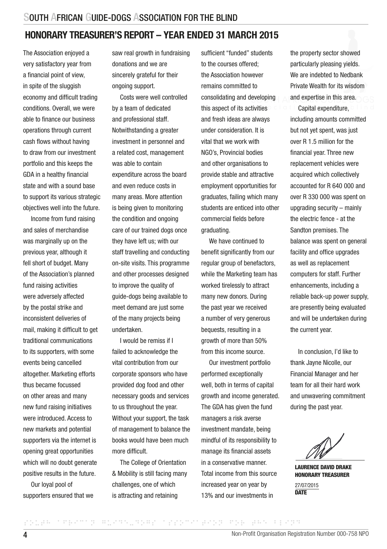### HONORARY TREASURER'S REPORT – YEAR ENDED 31 MARCH 2015

The Association enjoyed a very satisfactory year from a financial point of view, in spite of the sluggish economy and difficult trading conditions. Overall, we were able to finance our business operations through current cash flows without having to draw from our investment portfolio and this keeps the GDA in a healthy financial state and with a sound base to support its various strategic objectives well into the future.

Income from fund raising and sales of merchandise was marginally up on the previous year, although it fell short of budget. Many of the Association's planned fund raising activities were adversely affected by the postal strike and inconsistent deliveries of mail, making it difficult to get traditional communications to its supporters, with some events being cancelled altogether. Marketing efforts thus became focussed on other areas and many new fund raising initiatives were introduced. Access to new markets and potential supporters via the internet is opening great opportunities which will no doubt generate positive results in the future.

Our loyal pool of supporters ensured that we saw real growth in fundraising donations and we are sincerely grateful for their ongoing support.

Costs were well controlled by a team of dedicated and professional staff. Notwithstanding a greater investment in personnel and a related cost, management was able to contain expenditure across the board and even reduce costs in many areas. More attention is being given to monitoring the condition and ongoing care of our trained dogs once they have left us; with our staff travelling and conducting on-site visits. This programme and other processes designed to improve the quality of guide-dogs being available to meet demand are just some of the many projects being undertaken.

I would be remiss if I failed to acknowledge the vital contribution from our corporate sponsors who have provided dog food and other necessary goods and services to us throughout the year. Without your support, the task of management to balance the books would have been much more difficult.

The College of Orientation & Mobility is still facing many challenges, one of which is attracting and retaining

sufficient "funded" students to the courses offered; the Association however remains committed to consolidating and developing this aspect of its activities and fresh ideas are always under consideration. It is vital that we work with NGO's, Provincial bodies and other organisations to provide stable and attractive employment opportunities for graduates, failing which many students are enticed into other commercial fields before graduating.

We have continued to benefit significantly from our regular group of benefactors, while the Marketing team has worked tirelessly to attract many new donors. During the past year we received a number of very generous bequests, resulting in a growth of more than 50% from this income source.

Our investment portfolio performed exceptionally well, both in terms of capital growth and income generated. The GDA has given the fund managers a risk averse investment mandate, being mindful of its responsibility to manage its financial assets in a conservative manner. Total income from this source increased year on year by 13% and our investments in

the property sector showed particularly pleasing yields. We are indebted to Nedbank Private Wealth for its wisdom and expertise in this area.

Capital expenditure, including amounts committed but not yet spent, was just over R 1.5 million for the financial year. Three new replacement vehicles were acquired which collectively accounted for R 640 000 and over R 330 000 was spent on upgrading security – mainly the electric fence - at the Sandton premises. The balance was spent on general facility and office upgrades as well as replacement computers for staff. Further enhancements, including a reliable back-up power supply, are presently being evaluated and will be undertaken during the current year.

In conclusion, I'd like to thank Jayne Nicolle, our Financial Manager and her team for all their hard work and unwavering commitment during the past year.

LAURENCE DAVID DRAKE HONORARY TREASURER

27/07/2015 **DATE**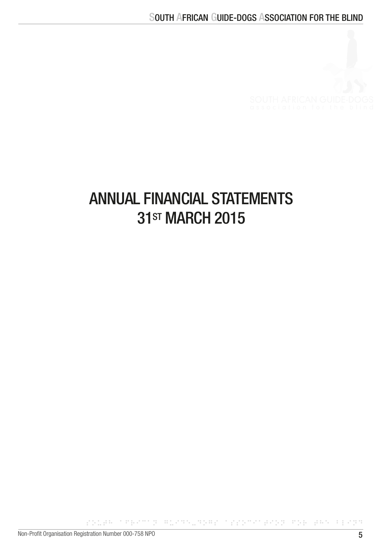

## ANNUAL FINANCIAL STATEMENTS 31<sub>ST</sub> MARCH 2015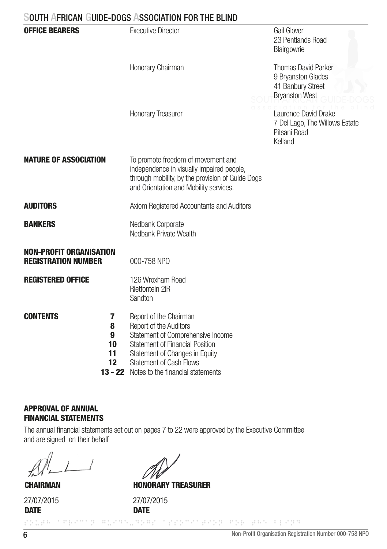| <b>OFFICE BEARERS</b>                                        | <b>Executive Director</b>                                                                                                                                                                                                                               | Gail Glover<br>23 Pentlands Road<br>Blairgowrie                                                |
|--------------------------------------------------------------|---------------------------------------------------------------------------------------------------------------------------------------------------------------------------------------------------------------------------------------------------------|------------------------------------------------------------------------------------------------|
|                                                              | Honorary Chairman                                                                                                                                                                                                                                       | <b>Thomas David Parker</b><br>9 Bryanston Glades<br>41 Banbury Street<br><b>Bryanston West</b> |
|                                                              | <b>Honorary Treasurer</b>                                                                                                                                                                                                                               | Laurence David Drake<br>7 Del Lago, The Willows Estate<br>Pitsani Road<br>Kelland              |
| <b>NATURE OF ASSOCIATION</b>                                 | To promote freedom of movement and<br>independence in visually impaired people,<br>through mobility, by the provision of Guide Dogs<br>and Orientation and Mobility services.                                                                           |                                                                                                |
| <b>AUDITORS</b>                                              | Axiom Registered Accountants and Auditors                                                                                                                                                                                                               |                                                                                                |
| <b>BANKERS</b>                                               | Nedbank Corporate<br>Nedbank Private Wealth                                                                                                                                                                                                             |                                                                                                |
| <b>NON-PROFIT ORGANISATION</b><br><b>REGISTRATION NUMBER</b> | 000-758 NPO                                                                                                                                                                                                                                             |                                                                                                |
| <b>REGISTERED OFFICE</b>                                     | 126 Wroxham Road<br><b>Rietfontein 2IR</b><br>Sandton                                                                                                                                                                                                   |                                                                                                |
| <b>CONTENTS</b><br>7<br>8<br>9<br>10<br>11<br>12             | Report of the Chairman<br>Report of the Auditors<br>Statement of Comprehensive Income<br><b>Statement of Financial Position</b><br>Statement of Changes in Equity<br><b>Statement of Cash Flows</b><br><b>13 - 22</b> Notes to the financial statements |                                                                                                |

#### APPROVAL OF ANNUAL FINANCIAL STATEMENTS

 The annual financial statements set out on pages 7 to 22 were approved by the Executive Committee and are signed on their behalf

**CHAIRMAN** 

**DATE** 27/07/2015

HONORARY TREASURER

**DATE** 27/07/2015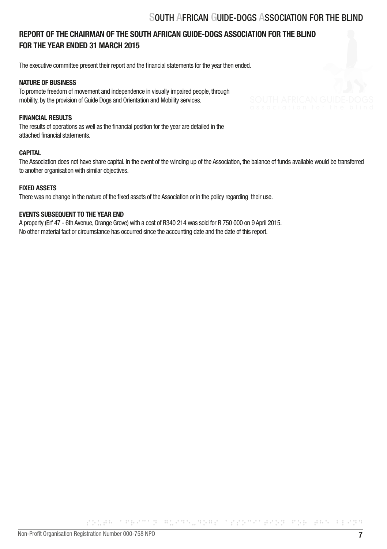#### REPORT OF THE CHAIRMAN OF THE SOUTH AFRICAN GUIDE-DOGS ASSOCIATION FOR THE BLIND FOR THE YEAR ENDED 31 MARCH 2015

The executive committee present their report and the financial statements for the year then ended.

#### NATURE OF BUSINESS

To promote freedom of movement and independence in visually impaired people, through mobility, by the provision of Guide Dogs and Orientation and Mobility services.

#### FINANCIAL RESULTS

The results of operations as well as the financial position for the year are detailed in the attached financial statements.

#### **CAPITAL**

The Association does not have share capital. In the event of the winding up of the Association, the balance of funds available would be transferred to another organisation with similar objectives.

#### FIXED ASSETS

There was no change in the nature of the fixed assets of the Association or in the policy regarding their use.

#### EVENTS SUBSEQUENT TO THE YEAR END

A property (Erf 47 - 6th Avenue, Orange Grove) with a cost of R340 214 was sold for R 750 000 on 9 April 2015. No other material fact or circumstance has occurred since the accounting date and the date of this report.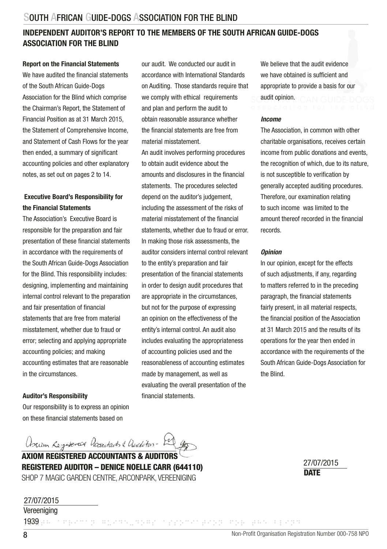#### INDEPENDENT AUDITOR'S REPORT TO THE MEMBERS OF THE SOUTH AFRICAN GUIDE-DOGS ASSOCIATION FOR THE BLIND

#### Report on the Financial Statements

We have audited the financial statements of the South African Guide-Dogs Association for the Blind which comprise the Chairman's Report, the Statement of Financial Position as at 31 March 2015, the Statement of Comprehensive Income, and Statement of Cash Flows for the year then ended, a summary of significant accounting policies and other explanatory notes, as set out on pages 2 to 14.

#### Executive Board's Responsibility for the Financial Statements

The Association's Executive Board is responsible for the preparation and fair presentation of these financial statements in accordance with the requirements of the South African Guide-Dogs Association for the Blind. This responsibility includes: designing, implementing and maintaining internal control relevant to the preparation and fair presentation of financial statements that are free from material misstatement, whether due to fraud or error; selecting and applying appropriate accounting policies; and making accounting estimates that are reasonable in the circumstances.

#### Auditor's Responsibility

Our responsibility is to express an opinion on these financial statements based on

our audit. We conducted our audit in accordance with International Standards on Auditing. Those standards require that we comply with ethical requirements and plan and perform the audit to obtain reasonable assurance whether the financial statements are free from material misstatement.

An audit involves performing procedures to obtain audit evidence about the amounts and disclosures in the financial statements. The procedures selected depend on the auditor's judgement, including the assessment of the risks of material misstatement of the financial statements, whether due to fraud or error. In making those risk assessments, the auditor considers internal control relevant to the entity's preparation and fair presentation of the financial statements in order to design audit procedures that are appropriate in the circumstances, but not for the purpose of expressing an opinion on the effectiveness of the entity's internal control. An audit also includes evaluating the appropriateness of accounting policies used and the reasonableness of accounting estimates made by management, as well as evaluating the overall presentation of the financial statements.

We believe that the audit evidence we have obtained is sufficient and appropriate to provide a basis for our audit opinion.

#### *Income*

The Association, in common with other charitable organisations, receives certain income from public donations and events, the recognition of which, due to its nature, is not susceptible to verification by generally accepted auditing procedures. Therefore, our examination relating to such income was limited to the amount thereof recorded in the financial records.

#### *Opinion*

In our opinion, except for the effects of such adjustments, if any, regarding to matters referred to in the preceding paragraph, the financial statements fairly present, in all material respects. the financial position of the Association at 31 March 2015 and the results of its operations for the year then ended in accordance with the requirements of the South African Guide-Dogs Association for the Blind.

Asum Registered Accordants & Anderton- bel gr

AXIOM REGISTERED ACCOUNTANTS & AUDITORS REGISTERED AUDITOR – DENICE NOELLE CARR (644110) SHOP 7 MAGIC GARDEN CENTRE, ARCONPARK, VEREENIGING DATE DATE DATE

27/07/2015

Vereeniging 27/07/2015

1939 parameter of the angular constants and the bland states as a special states and the bland states and the bland states of the second states of the second states of the second states of the second states of the second s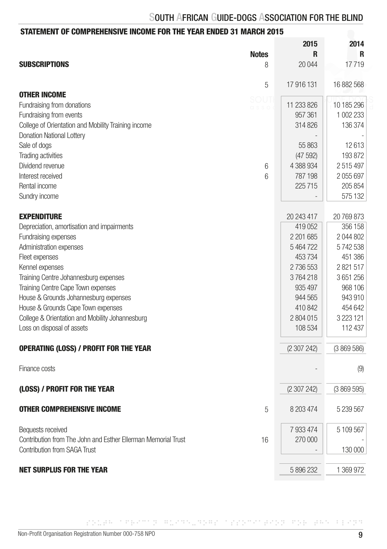### STATEMENT OF COMPREHENSIVE INCOME FOR THE YEAR ENDED 31 MARCH 2015

|                                                                     | 2015       | 2014          |
|---------------------------------------------------------------------|------------|---------------|
| <b>Notes</b><br><b>SUBSCRIPTIONS</b>                                | R          | R<br>17719    |
| 8                                                                   | 20 044     |               |
| 5                                                                   | 17 916 131 | 16 882 568    |
| <b>OTHER INCOME</b><br>soui                                         |            |               |
| Fundraising from donations                                          | 11 233 826 | 10 185 296    |
| Fundraising from events                                             | 957 361    | 1 002 233     |
| College of Orientation and Mobility Training income                 | 314826     | 136 374       |
| Donation National Lottery                                           |            |               |
| Sale of dogs                                                        | 55 863     | 12613         |
| Trading activities                                                  | (47592)    | 193872        |
| Dividend revenue<br>6                                               | 4 388 934  | 2515497       |
| Interest received<br>6                                              | 787 198    | 2055697       |
| Rental income                                                       | 225715     | 205 854       |
| Sundry income                                                       |            | 575 132       |
| <b>EXPENDITURE</b>                                                  | 20 243 417 | 20 769 873    |
| Depreciation, amortisation and impairments                          | 419 052    | 356 158       |
| Fundraising expenses                                                | 2 201 685  | 2 044 802     |
| Administration expenses                                             | 5464722    | 5742538       |
| Fleet expenses                                                      | 453734     | 451 386       |
| Kennel expenses                                                     | 2736553    | 2821517       |
| Training Centre Johannesburg expenses                               | 3764218    | 3651256       |
| Training Centre Cape Town expenses                                  | 935 497    | 968 106       |
| House & Grounds Johannesburg expenses                               | 944 565    | 943 910       |
| House & Grounds Cape Town expenses                                  | 410 842    | 454 642       |
| College & Orientation and Mobility Johannesburg                     | 2 804 015  | 3 2 2 3 1 2 1 |
| Loss on disposal of assets                                          | 108 534    | 112 437       |
|                                                                     |            |               |
| <b>OPERATING (LOSS) / PROFIT FOR THE YEAR</b>                       | (2307242)  | (3869586)     |
| Finance costs                                                       |            | (9)           |
| (LOSS) / PROFIT FOR THE YEAR                                        | (2307242)  | (3869595)     |
| <b>OTHER COMPREHENSIVE INCOME</b><br>5                              | 8 203 474  | 5 239 567     |
|                                                                     |            |               |
| Bequests received                                                   | 7 933 474  | 5 109 567     |
| Contribution from The John and Esther Ellerman Memorial Trust<br>16 | 270 000    |               |
| <b>Contribution from SAGA Trust</b>                                 |            | 130 000       |
| <b>NET SURPLUS FOR THE YEAR</b>                                     | 5 896 232  | 1 369 972     |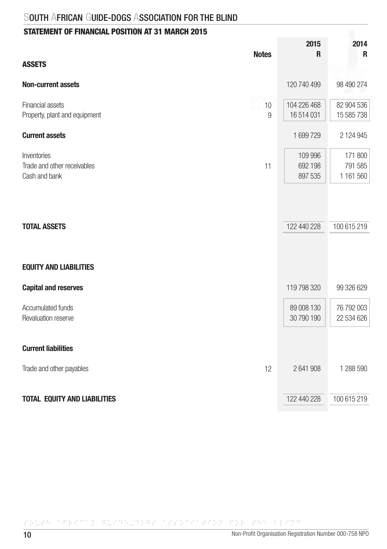### STATEMENT OF FINANCIAL POSITION AT 31 MARCH 2015

| <b>Notes</b>                                                      | 2015<br>R                     | 2014<br>R                       |
|-------------------------------------------------------------------|-------------------------------|---------------------------------|
| <b>ASSETS</b>                                                     |                               |                                 |
| <b>Non-current assets</b>                                         | 120 740 499                   | 98 490 274                      |
| Financial assets<br>10<br>Property, plant and equipment<br>9      | 104 226 468<br>16 514 031     | 82 904 536<br>15 585 738        |
| <b>Current assets</b>                                             | 1699729                       | 2 124 945                       |
| Inventories<br>Trade and other receivables<br>11<br>Cash and bank | 109 996<br>692 198<br>897 535 | 171 800<br>791 585<br>1 161 560 |
| <b>TOTAL ASSETS</b>                                               | 122 440 228                   | 100 615 219                     |
|                                                                   |                               |                                 |
| <b>EQUITY AND LIABILITIES</b>                                     |                               |                                 |
| <b>Capital and reserves</b>                                       | 119 798 320                   | 99 326 629                      |
| Accumulated funds<br>Revaluation reserve                          | 89 008 130<br>30 790 190      | 76 792 003<br>22 534 626        |
| <b>Current liabilities</b>                                        |                               |                                 |
| Trade and other payables<br>12                                    | 2641908                       | 1 288 590                       |
| <b>TOTAL EQUITY AND LIABILITIES</b>                               | 122 440 228                   | 100 615 219                     |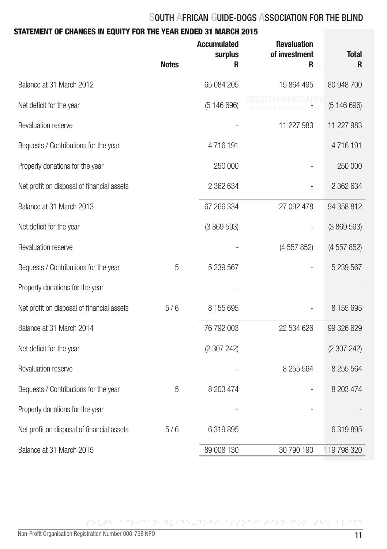| STATEMENT OF CHANGES IN EQUITY FOR THE YEAR ENDED 31 MARCH 2015 |              |                                           |                                          |                   |
|-----------------------------------------------------------------|--------------|-------------------------------------------|------------------------------------------|-------------------|
|                                                                 | <b>Notes</b> | <b>Accumulated</b><br><b>surplus</b><br>R | <b>Revaluation</b><br>of investment<br>R | <b>Total</b><br>R |
| Balance at 31 March 2012                                        |              | 65 084 205                                | 15 864 495                               | 80 948 700        |
| Net deficit for the year                                        |              | (5146696)                                 |                                          | (5146696)         |
| Revaluation reserve                                             |              |                                           | 11 227 983                               | 11 227 983        |
| Bequests / Contributions for the year                           |              | 4716191                                   |                                          | 4716191           |
| Property donations for the year                                 |              | 250 000                                   |                                          | 250 000           |
| Net profit on disposal of financial assets                      |              | 2 362 634                                 |                                          | 2 362 634         |
| Balance at 31 March 2013                                        |              | 67 266 334                                | 27 092 478                               | 94 358 812        |
| Net deficit for the year                                        |              | (3869593)                                 |                                          | (3869593)         |
| Revaluation reserve                                             |              |                                           | (4 557 852)                              | (4557852)         |
| Bequests / Contributions for the year                           | 5            | 5 239 567                                 |                                          | 5 239 567         |
| Property donations for the year                                 |              |                                           |                                          |                   |
| Net profit on disposal of financial assets                      | 5/6          | 8 155 695                                 |                                          | 8 155 695         |
| Balance at 31 March 2014                                        |              | 76 792 003                                | 22 534 626                               | 99 326 629        |
| Net deficit for the year                                        |              | (2 307 242)                               |                                          | (2307242)         |
| Revaluation reserve                                             |              |                                           | 8 255 564                                | 8 255 564         |
| Bequests / Contributions for the year                           | 5            | 8 203 474                                 |                                          | 8 203 474         |
| Property donations for the year                                 |              |                                           |                                          |                   |
| Net profit on disposal of financial assets                      | 5/6          | 6 319 895                                 |                                          | 6 319 895         |
| Balance at 31 March 2015                                        |              | 89 008 130                                | 30 790 190                               | 119 798 320       |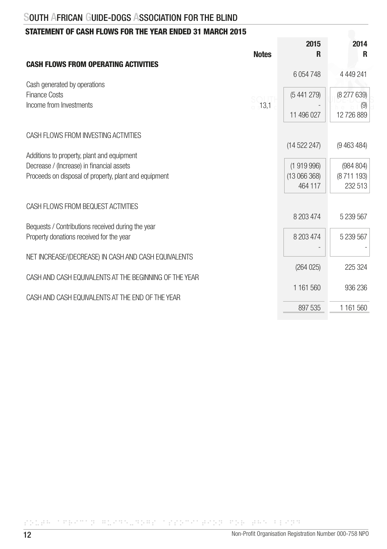### STATEMENT OF CASH FLOWS FOR THE YEAR ENDED 31 MARCH 2015

| <b>Notes</b>                                                                                                                                     | 2015<br>R                          | 2014<br>R                          |
|--------------------------------------------------------------------------------------------------------------------------------------------------|------------------------------------|------------------------------------|
| <b>CASH FLOWS FROM OPERATING ACTIVITIES</b>                                                                                                      | 6 0 54 748                         | 4 4 4 9 2 4 1                      |
| Cash generated by operations<br>Finance Costs<br>Income from Investments<br>13,1                                                                 | (5441279)                          | (8 277 639)<br>(9)                 |
|                                                                                                                                                  | 11 496 027                         | 12 726 889                         |
| CASH FLOWS FROM INVESTING ACTIVITIES                                                                                                             | (14522247)                         | (9463484)                          |
| Additions to property, plant and equipment<br>Decrease / (Increase) in financial assets<br>Proceeds on disposal of property, plant and equipment | (1919996)<br>(13066368)<br>464 117 | (984 804)<br>(8711 193)<br>232 513 |
| CASH FLOWS FROM BEQUEST ACTIVITIES                                                                                                               | 8 203 474                          | 5 239 567                          |
| Bequests / Contributions received during the year<br>Property donations received for the year                                                    | 8 203 474                          | 5 239 567                          |
| NET INCREASE/(DECREASE) IN CASH AND CASH EQUIVALENTS                                                                                             | (264025)                           | 225 324                            |
| CASH AND CASH EQUIVALENTS AT THE BEGINNING OF THE YEAR<br>CASH AND CASH EQUIVALENTS AT THE END OF THE YEAR                                       | 1 161 560                          | 936 236                            |
|                                                                                                                                                  | 897 535                            | 1 161 560                          |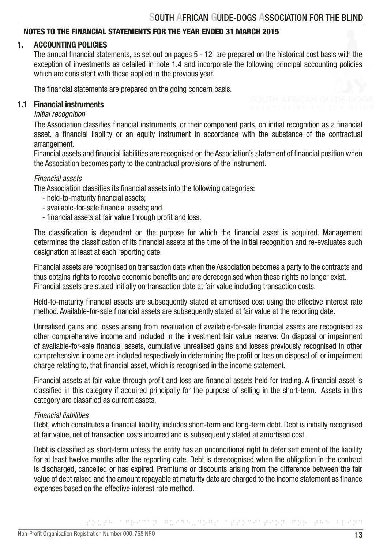#### NOTES TO THE FINANCIAL STATEMENTS FOR THE YEAR ENDED 31 MARCH 2015

#### 1. ACCOUNTING POLICIES

 The annual financial statements, as set out on pages 5 - 12 are prepared on the historical cost basis with the exception of investments as detailed in note 1.4 and incorporate the following principal accounting policies which are consistent with those applied in the previous year.

The financial statements are prepared on the going concern basis.

#### 1.1 Financial instruments

#### *Initial recognition*

 The Association classifies financial instruments, or their component parts, on initial recognition as a financial asset, a financial liability or an equity instrument in accordance with the substance of the contractual arrangement.

 Financial assets and financial liabilities are recognised on the Association's statement of financial position when the Association becomes party to the contractual provisions of the instrument.

#### *Financial assets*

The Association classifies its financial assets into the following categories:

- held-to-maturity financial assets;
- available-for-sale financial assets; and
- financial assets at fair value through profit and loss.

 The classification is dependent on the purpose for which the financial asset is acquired. Management determines the classification of its financial assets at the time of the initial recognition and re-evaluates such designation at least at each reporting date.

 Financial assets are recognised on transaction date when the Association becomes a party to the contracts and thus obtains rights to receive economic benefits and are derecognised when these rights no longer exist. Financial assets are stated initially on transaction date at fair value including transaction costs.

 Held-to-maturity financial assets are subsequently stated at amortised cost using the effective interest rate method. Available-for-sale financial assets are subsequently stated at fair value at the reporting date.

 Unrealised gains and losses arising from revaluation of available-for-sale financial assets are recognised as other comprehensive income and included in the investment fair value reserve. On disposal or impairment of available-for-sale financial assets, cumulative unrealised gains and losses previously recognised in other comprehensive income are included respectively in determining the profit or loss on disposal of, or impairment charge relating to, that financial asset, which is recognised in the income statement.

 Financial assets at fair value through profit and loss are financial assets held for trading. A financial asset is classified in this category if acquired principally for the purpose of selling in the short-term. Assets in this category are classified as current assets.

#### *Financial liabilities*

 Debt, which constitutes a financial liability, includes short-term and long-term debt. Debt is initially recognised at fair value, net of transaction costs incurred and is subsequently stated at amortised cost.

 Debt is classified as short-term unless the entity has an unconditional right to defer settlement of the liability for at least twelve months after the reporting date. Debt is derecognised when the obligation in the contract is discharged, cancelled or has expired. Premiums or discounts arising from the difference between the fair value of debt raised and the amount repayable at maturity date are charged to the income statement as finance expenses based on the effective interest rate method.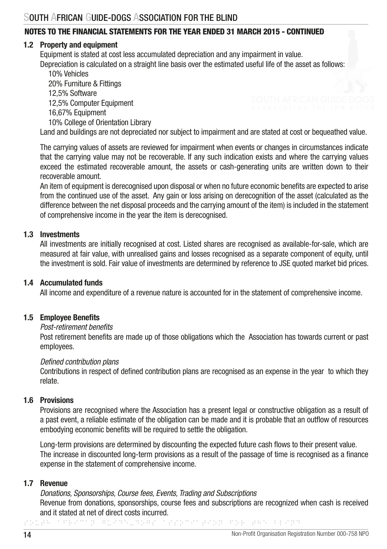#### 1.2 Property and equipment

Equipment is stated at cost less accumulated depreciation and any impairment in value. Depreciation is calculated on a straight line basis over the estimated useful life of the asset as follows:

 10% Vehicles 20% Furniture & Fittings 12,5% Software 12,5% Computer Equipment 16,67% Equipment 10% College of Orientation Library Land and buildings are not depreciated nor subject to impairment and are stated at cost or bequeathed value.

 The carrying values of assets are reviewed for impairment when events or changes in circumstances indicate that the carrying value may not be recoverable. If any such indication exists and where the carrying values exceed the estimated recoverable amount, the assets or cash-generating units are written down to their recoverable amount.

 An item of equipment is derecognised upon disposal or when no future economic benefits are expected to arise from the continued use of the asset. Any gain or loss arising on derecognition of the asset (calculated as the difference between the net disposal proceeds and the carrying amount of the item) is included in the statement of comprehensive income in the year the item is derecognised.

#### 1.3 Investments

 All investments are initially recognised at cost. Listed shares are recognised as available-for-sale, which are measured at fair value, with unrealised gains and losses recognised as a separate component of equity, until the investment is sold. Fair value of investments are determined by reference to JSE quoted market bid prices.

#### 1.4 Accumulated funds

All income and expenditure of a revenue nature is accounted for in the statement of comprehensive income.

#### 1.5 Employee Benefits

#### *Post-retirement benefits*

 Post retirement benefits are made up of those obligations which the Association has towards current or past employees.

#### *Defined contribution plans*

 Contributions in respect of defined contribution plans are recognised as an expense in the year to which they relate.

#### 1.6 Provisions

 Provisions are recognised where the Association has a present legal or constructive obligation as a result of a past event, a reliable estimate of the obligation can be made and it is probable that an outflow of resources embodying economic benefits will be required to settle the obligation.

 Long-term provisions are determined by discounting the expected future cash flows to their present value. The increase in discounted long-term provisions as a result of the passage of time is recognised as a finance expense in the statement of comprehensive income.

#### 1.7 Revenue

 *Donations, Sponsorships, Course fees, Events, Trading and Subscriptions*  Revenue from donations, sponsorships, course fees and subscriptions are recognized when cash is received and it stated at net of direct costs incurred.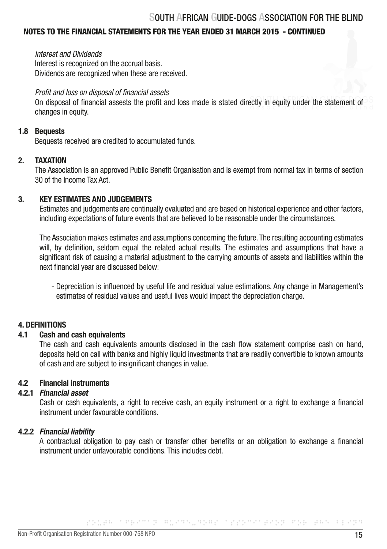*Interest and Dividends*

Interest is recognized on the accrual basis. Dividends are recognized when these are received.

#### *Profit and loss on disposal of financial assets*

 On disposal of financial assests the profit and loss made is stated directly in equity under the statement of changes in equity.

#### 1.8 Bequests

Bequests received are credited to accumulated funds.

#### 2. TAXATION

 The Association is an approved Public Benefit Organisation and is exempt from normal tax in terms of section 30 of the Income Tax Act.

#### 3. KEY ESTIMATES AND JUDGEMENTS

 Estimates and judgements are continually evaluated and are based on historical experience and other factors, including expectations of future events that are believed to be reasonable under the circumstances.

 The Association makes estimates and assumptions concerning the future. The resulting accounting estimates will, by definition, seldom equal the related actual results. The estimates and assumptions that have a significant risk of causing a material adjustment to the carrying amounts of assets and liabilities within the next financial year are discussed below:

 - Depreciation is influenced by useful life and residual value estimations. Any change in Management's estimates of residual values and useful lives would impact the depreciation charge.

#### 4. DEFINITIONS

#### 4.1 Cash and cash equivalents

 The cash and cash equivalents amounts disclosed in the cash flow statement comprise cash on hand, deposits held on call with banks and highly liquid investments that are readily convertible to known amounts of cash and are subject to insignificant changes in value.

#### 4.2 Financial instruments

#### 4.2.1 Financial asset

Cash or cash equivalents, a right to receive cash, an equity instrument or a right to exchange a financial instrument under favourable conditions.

#### 4.2.2 Financial liability

 A contractual obligation to pay cash or transfer other benefits or an obligation to exchange a financial instrument under unfavourable conditions. This includes debt.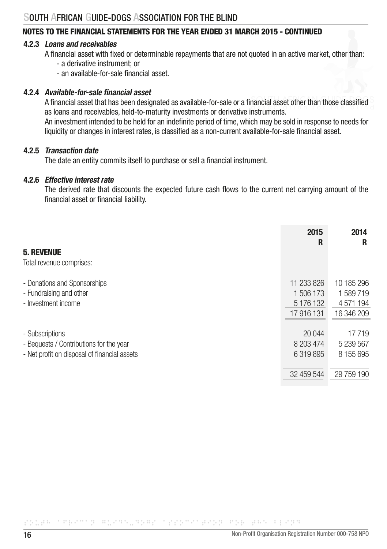#### 4.2.3 Loans and receivables

- A financial asset with fixed or determinable repayments that are not quoted in an active market, other than: - a derivative instrument; or
	- an available-for-sale financial asset.

#### 4.2.4 Available-for-sale financial asset

 A financial asset that has been designated as available-for-sale or a financial asset other than those classified as loans and receivables, held-to-maturity investments or derivative instruments. An investment intended to be held for an indefinite period of time, which may be sold in response to needs for liquidity or changes in interest rates, is classified as a non-current available-for-sale financial asset.

#### 4.2.5 Transaction date

The date an entity commits itself to purchase or sell a financial instrument.

#### 4.2.6 Effective interest rate

 The derived rate that discounts the expected future cash flows to the current net carrying amount of the financial asset or financial liability.

|                                              | 2015<br>R  | 2014<br>R  |
|----------------------------------------------|------------|------------|
| <b>5. REVENUE</b>                            |            |            |
| Total revenue comprises:                     |            |            |
| - Donations and Sponsorships                 | 11 233 826 | 10 185 296 |
| - Fundraising and other                      | 1 506 173  | 1589719    |
| - Investment income                          | 5 176 132  | 4 571 194  |
|                                              | 17 916 131 | 16 346 209 |
| - Subscriptions                              | 20 044     | 17719      |
| - Bequests / Contributions for the year      | 8 203 474  | 5 239 567  |
| - Net profit on disposal of financial assets | 6 319 895  | 8 155 695  |
|                                              | 32 459 544 | 29 759 190 |

SOUTH AFRICAN GUIDE-DOGS ASSOCIATION FOR THE BLIND FOR THE BLIND FOR THE BLIND FOR THE BLIND FOR THE BLIND FOR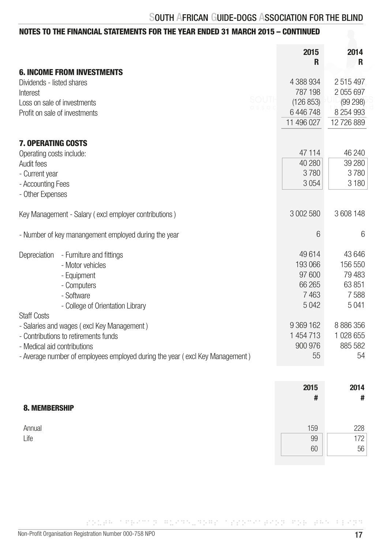|                                                                              | 2015<br>R  | 2014<br>R  |
|------------------------------------------------------------------------------|------------|------------|
| <b>6. INCOME FROM INVESTMENTS</b><br>Dividends - listed shares               | 4 388 934  | 2515497    |
| Interest                                                                     | 787 198    | 2 055 697  |
| Loss on sale of investments                                                  | (126 853)  | (99 298)   |
| Profit on sale of investments                                                | 6 446 748  | 8 254 993  |
|                                                                              | 11 496 027 | 12 726 889 |
|                                                                              |            |            |
| <b>7. OPERATING COSTS</b>                                                    |            |            |
| Operating costs include:                                                     | 47 114     | 46 240     |
| Audit fees                                                                   | 40 280     | 39 280     |
| - Current year                                                               | 3780       | 3780       |
| - Accounting Fees                                                            | 3054       | 3 1 8 0    |
| - Other Expenses                                                             |            |            |
| Key Management - Salary (excl employer contributions)                        | 3 002 580  | 3 608 148  |
| - Number of key manangement employed during the year                         | 6          | 6          |
| Depreciation - Furniture and fittings                                        | 49614      | 43 646     |
| - Motor vehicles                                                             | 193 066    | 156 550    |
| - Equipment                                                                  | 97 600     | 79 483     |
| - Computers                                                                  | 66 265     | 63 851     |
| - Software                                                                   | 7463       | 7588       |
| - College of Orientation Library                                             | 5042       | 5041       |
| <b>Staff Costs</b>                                                           |            |            |
| - Salaries and wages (excl Key Management)                                   | 9 369 162  | 8 886 356  |
| - Contributions to retirements funds                                         | 1 454 713  | 1 028 655  |
| - Medical aid contributions                                                  | 900 976    | 885 582    |
| - Average number of employees employed during the year (excl Key Management) | 55         | 54         |
|                                                                              |            |            |
|                                                                              | 2015       | 2014       |
|                                                                              | #          | #          |
| <b>8. MEMBERSHIP</b>                                                         |            |            |
|                                                                              |            |            |

| Annual | 59 | 228        |
|--------|----|------------|
| Life   | 99 | 70<br>11 L |
|        | 60 | 56         |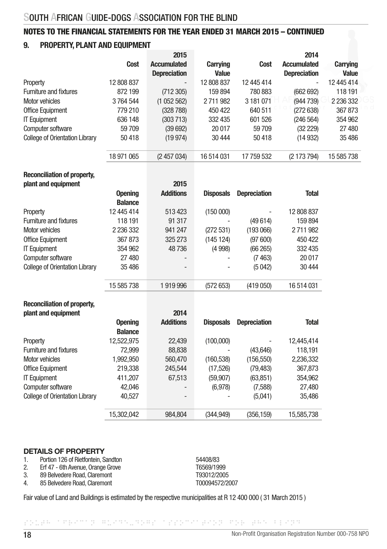#### 9. PROPERTY, PLANT AND EQUIPMENT

|                                       |            | 2015                |                 |            | 2014                |                 |
|---------------------------------------|------------|---------------------|-----------------|------------|---------------------|-----------------|
|                                       | Cost       | <b>Accumulated</b>  | <b>Carrying</b> | Cost       | Accumulated         | <b>Carrying</b> |
|                                       |            | <b>Depreciation</b> | <b>Value</b>    |            | <b>Depreciation</b> | Value           |
| Property                              | 12 808 837 | -                   | 12 808 837      | 12 445 414 | ۰                   | 12 445 414      |
| <b>Furniture and fixtures</b>         | 872199     | (712305)            | 159 894         | 780 883    | (662692)            | 118 191         |
| Motor vehicles                        | 3764544    | (1052562)           | 2711982         | 3 181 071  | (944739)            | 2 2 3 6 3 3 2   |
| <b>Office Equipment</b>               | 779 210    | (328 788)           | 450 422         | 640 511    | (272638)            | 367873          |
| <b>IT Equipment</b>                   | 636 148    | (303 713)           | 332 435         | 601 526    | (246 564)           | 354 962         |
| Computer software                     | 59709      | (39692)             | 20 017          | 59 709     | (32 229)            | 27 480          |
| <b>College of Orientation Library</b> | 50418      | (19974)             | 30 444          | 50418      | (14932)             | 35 486          |
|                                       | 18 971 065 | (2457034)           | 16 514 031      | 17 759 532 | (2 173 794)         | 15 585 738      |

### Reconciliation of property,

| plant and equipment                   |                | 2015                     |                  |                     |              |
|---------------------------------------|----------------|--------------------------|------------------|---------------------|--------------|
|                                       | <b>Opening</b> | <b>Additions</b>         | <b>Disposals</b> | <b>Depreciation</b> | <b>Total</b> |
|                                       | <b>Balance</b> |                          |                  |                     |              |
| Property                              | 12 445 414     | 513 423                  | (150000)         | ۰                   | 12 808 837   |
| <b>Furniture and fixtures</b>         | 118 191        | 91 317                   |                  | (49614)             | 159894       |
| Motor vehicles                        | 2 236 332      | 941 247                  | (272531)         | (193066)            | 2711982      |
| <b>Office Equipment</b>               | 367873         | 325 273                  | (145124)         | (97600)             | 450 422      |
| <b>IT Equipment</b>                   | 354 962        | 48736                    | (4998)           | (66 265)            | 332 435      |
| Computer software                     | 27 480         | $\overline{\phantom{a}}$ | ٠                | (7463)              | 20 017       |
| <b>College of Orientation Library</b> | 35486          | $\overline{\phantom{a}}$ |                  | (5042)              | 30 444       |
|                                       | 15 585 738     | 1919996                  | (572653)         | (419050)            | 16 514 031   |

## Reconciliation of property,

| plant and equipment                   |                | 2014                     |                  |                     |              |
|---------------------------------------|----------------|--------------------------|------------------|---------------------|--------------|
|                                       | <b>Opening</b> | <b>Additions</b>         | <b>Disposals</b> | <b>Depreciation</b> | <b>Total</b> |
|                                       | <b>Balance</b> |                          |                  |                     |              |
| Property                              | 12,522,975     | 22,439                   | (100,000)        |                     | 12,445,414   |
| <b>Furniture and fixtures</b>         | 72.999         | 88,838                   | ٠                | (43,646)            | 118,191      |
| Motor vehicles                        | 1,992,950      | 560,470                  | (160, 538)       | (156, 550)          | 2,236,332    |
| <b>Office Equipment</b>               | 219,338        | 245,544                  | (17,526)         | (79, 483)           | 367,873      |
| <b>IT Equipment</b>                   | 411,207        | 67,513                   | (59, 907)        | (63, 851)           | 354,962      |
| Computer software                     | 42.046         | $\overline{\phantom{a}}$ | (6,978)          | (7,588)             | 27,480       |
| <b>College of Orientation Library</b> | 40,527         | $\overline{\phantom{a}}$ |                  | (5,041)             | 35,486       |
|                                       | 15.302.042     | 984.804                  | (344, 949)       | (356, 159)          | 15,585,738   |

#### DETAILS OF PROPERTY

| Portion 126 of Rietfontein, Sandton | 54408/83   |
|-------------------------------------|------------|
| Frf 47 - 6th Avenue, Orange Grove   | T6569/1999 |

- 2. Erf 47 6th Avenue, Orange Grove Change States (September 2004)<br>2. 89 Belvedere Road. Claremont Change Change (September 2005)
- 89 Belvedere Road, Claremont
- 4. 85 Belvedere Road, Claremont T00094572/2007

Fair value of Land and Buildings is estimated by the respective municipalities at R 12 400 000 ( 31 March 2015 )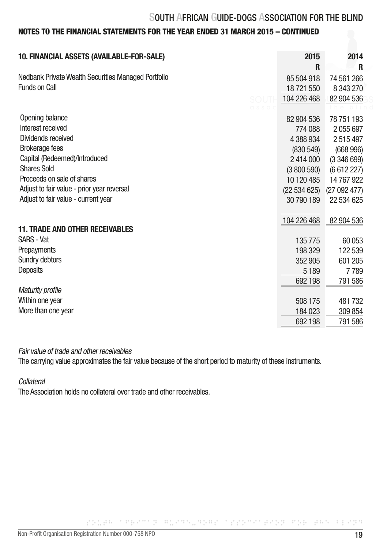| 10. FINANCIAL ASSETS (AVAILABLE-FOR-SALE)           | 2015         | 2014       |
|-----------------------------------------------------|--------------|------------|
|                                                     | R            | R          |
| Nedbank Private Wealth Securities Managed Portfolio | 85 504 918   | 74 561 266 |
| Funds on Call                                       | 18721550     | 8 343 270  |
| SOUT                                                | 104 226 468  | 82 904 536 |
|                                                     |              |            |
| Opening balance                                     | 82 904 536   | 78 751 193 |
| Interest received                                   | 774 088      | 2 055 697  |
| Dividends received                                  | 4 388 934    | 2 515 497  |
| <b>Brokerage fees</b>                               | (830 549)    | (668996)   |
| Capital (Redeemed)/Introduced                       | 2414000      | (3346699)  |
| <b>Shares Sold</b>                                  | (3800590)    | (6612227)  |
| Proceeds on sale of shares                          | 10 120 485   | 14 767 922 |
| Adjust to fair value - prior year reversal          | (22 534 625) | (27092477) |
| Adjust to fair value - current year                 | 30 790 189   | 22 534 625 |
|                                                     |              |            |
|                                                     | 104 226 468  | 82 904 536 |
| <b>11. TRADE AND OTHER RECEIVABLES</b>              |              |            |
| <b>SARS - Vat</b>                                   | 135 775      | 60 053     |
| Prepayments                                         | 198 329      | 122 539    |
| Sundry debtors                                      | 352 905      | 601 205    |
| Deposits                                            | 5 1 8 9      | 7789       |
|                                                     | 692 198      | 791 586    |
| <b>Maturity profile</b>                             |              |            |
| Within one year                                     | 508 175      | 481732     |
| More than one year                                  | 184 023      | 309 854    |
|                                                     | 692 198      | 791 586    |

Fair value of trade and other receivables

The carrying value approximates the fair value because of the short period to maturity of these instruments.

Collateral

The Association holds no collateral over trade and other receivables.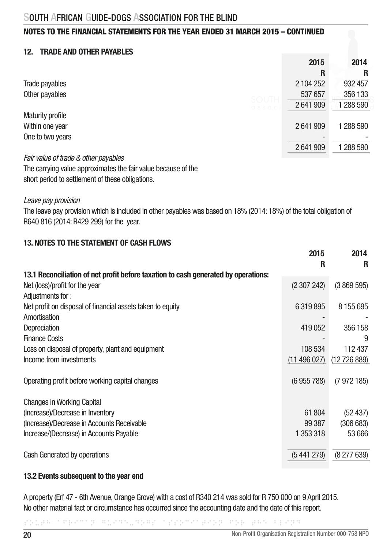#### 12 TRADE AND OTHER PAYARI ES

|                         | 2015      | 2014      |
|-------------------------|-----------|-----------|
|                         | R         | R         |
| Trade payables          | 2 104 252 | 932 457   |
| Other payables<br>SOUTH | 537 657   | 356 133   |
| <b>CISSOC</b>           | 2641909   | 1 288 590 |
| <b>Maturity profile</b> |           |           |
| Within one year         | 2641909   | 1 288 590 |
| One to two years        |           |           |
|                         | 2641909   | 1 288 590 |
| _<br>. .                |           |           |

*Fair value of trade & other payables* The carrying value approximates the fair value because of the short period to settlement of these obligations.

*Leave pay provision*

The leave pay provision which is included in other payables was based on 18% (2014: 18%) of the total obligation of R640 816 (2014: R429 299) for the year.

#### 13. NOTES TO THE STATEMENT OF CASH FLOWS

|                                                                                    | 2015<br>R  | 2014<br>R  |
|------------------------------------------------------------------------------------|------------|------------|
| 13.1 Reconciliation of net profit before taxation to cash generated by operations: |            |            |
| Net (loss)/profit for the year                                                     | (2307242)  | (3869595)  |
| Adjustments for:                                                                   |            |            |
| Net profit on disposal of financial assets taken to equity                         | 6 319 895  | 8 155 695  |
| Amortisation                                                                       |            |            |
| Depreciation                                                                       | 419 052    | 356 158    |
| <b>Finance Costs</b>                                                               |            | 9          |
| Loss on disposal of property, plant and equipment                                  | 108 534    | 112 437    |
| Income from investments                                                            | (11496027) | (12726889) |
|                                                                                    |            |            |
| Operating profit before working capital changes                                    | (6955788)  | (7972185)  |
|                                                                                    |            |            |
| <b>Changes in Working Capital</b>                                                  |            |            |
| (Increase)/Decrease in Inventory                                                   | 61 804     | (52 437)   |
| (Increase)/Decrease in Accounts Receivable                                         | 99 387     | (306683)   |
| Increase/(Decrease) in Accounts Payable                                            | 1 353 318  | 53 666     |
|                                                                                    |            |            |
| Cash Generated by operations                                                       | (5441279)  | (8277639)  |
|                                                                                    |            |            |

#### 13.2 Events subsequent to the year end

A property (Erf 47 - 6th Avenue, Orange Grove) with a cost of R340 214 was sold for R 750 000 on 9 April 2015. No other material fact or circumstance has occurred since the accounting date and the date of this report.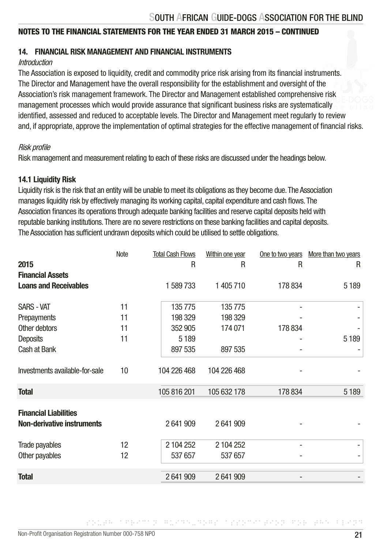#### 14. FINANCIAL RISK MANAGEMENT AND FINANCIAL INSTRUMENTS

#### Introduction

The Association is exposed to liquidity, credit and commodity price risk arising from its financial instruments. The Director and Management have the overall responsibility for the establishment and oversight of the Association's risk management framework. The Director and Management established comprehensive risk management processes which would provide assurance that significant business risks are systematically identified, assessed and reduced to acceptable levels. The Director and Management meet regularly to review and, if appropriate, approve the implementation of optimal strategies for the effective management of financial risks.

#### Risk profile

Risk management and measurement relating to each of these risks are discussed under the headings below.

#### 14.1 Liquidity Risk

Liquidity risk is the risk that an entity will be unable to meet its obligations as they become due. The Association manages liquidity risk by effectively managing its working capital, capital expenditure and cash flows. The Association finances its operations through adequate banking facilities and reserve capital deposits held with reputable banking institutions. There are no severe restrictions on these banking facilities and capital deposits. The Association has sufficient undrawn deposits which could be utilised to settle obligations.

|                                                            | Note | <b>Total Cash Flows</b> | Within one year | One to two years | More than two years |
|------------------------------------------------------------|------|-------------------------|-----------------|------------------|---------------------|
| 2015                                                       |      | R                       | R               | R                | R                   |
| <b>Financial Assets</b>                                    |      |                         |                 |                  |                     |
| <b>Loans and Receivables</b>                               |      | 1 589 733               | 1 405 710       | 178 834          | 5 1 8 9             |
| <b>SARS - VAT</b>                                          | 11   | 135775                  | 135775          |                  |                     |
| Prepayments                                                | 11   | 198 329                 | 198 329         |                  |                     |
| Other debtors                                              | 11   | 352 905                 | 174 071         | 178 834          |                     |
| Deposits                                                   | 11   | 5 1 8 9                 |                 |                  | 5 1 8 9             |
| Cash at Bank                                               |      | 897 535                 | 897 535         |                  |                     |
| Investments available-for-sale                             | 10   | 104 226 468             | 104 226 468     |                  |                     |
| <b>Total</b>                                               |      | 105 816 201             | 105 632 178     | 178 834          | 5 1 8 9             |
| <b>Financial Liabilities</b><br>Non-derivative instruments |      | 2641909                 | 2641909         |                  |                     |
| Trade payables                                             | 12   | 2 104 252               | 2 104 252       |                  |                     |
| Other payables                                             | 12   | 537 657                 | 537 657         |                  |                     |
| <b>Total</b>                                               |      | 2641909                 | 2641909         |                  |                     |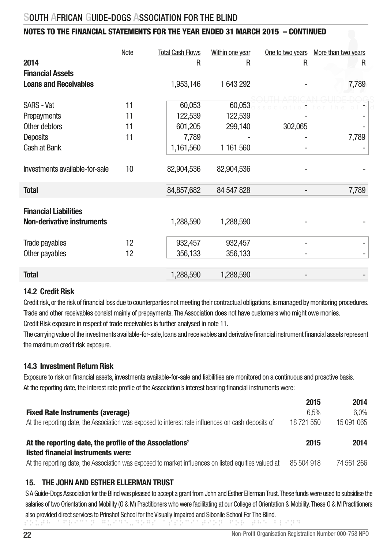#### NOTES TO THE FINANCIAL STATEMENTS FOR THE YEAR ENDED 31 MARCH 2015 – CONTINUED

| Note | <b>Total Cash Flows</b> | Within one year                                                  | One to two years                   | More than two years |
|------|-------------------------|------------------------------------------------------------------|------------------------------------|---------------------|
|      | R                       | R                                                                | R                                  | R                   |
|      |                         |                                                                  |                                    |                     |
|      | 1,953,146               | 1 643 292                                                        |                                    | 7,789               |
|      |                         |                                                                  |                                    |                     |
| 11   |                         | 60,053                                                           |                                    |                     |
| 11   |                         | 122,539                                                          |                                    |                     |
| 11   |                         |                                                                  |                                    |                     |
| 11   |                         |                                                                  |                                    | 7,789               |
|      |                         |                                                                  |                                    |                     |
|      |                         |                                                                  |                                    |                     |
|      |                         |                                                                  |                                    |                     |
|      |                         |                                                                  |                                    |                     |
|      | 84,857,682              | 84 547 828                                                       |                                    | 7,789               |
|      |                         |                                                                  |                                    |                     |
|      |                         |                                                                  |                                    |                     |
|      | 1,288,590               | 1,288,590                                                        |                                    |                     |
|      |                         |                                                                  |                                    |                     |
| 12   | 932,457                 | 932,457                                                          |                                    |                     |
| 12   | 356,133                 | 356,133                                                          |                                    |                     |
|      |                         |                                                                  |                                    |                     |
|      | 1,288,590               | 1,288,590                                                        |                                    |                     |
|      | 10                      | 60,053<br>122,539<br>601,205<br>7,789<br>1,161,560<br>82,904,536 | 299,140<br>1 161 560<br>82,904,536 | 302,065             |

#### 14.2 Credit Risk

Credit risk, or the risk of financial loss due to counterparties not meeting their contractual obligations, is managed by monitoring procedures. Trade and other receivables consist mainly of prepayments. The Association does not have customers who might owe monies. Credit Risk exposure in respect of trade receivables is further analysed in note 11.

The carrying value of the investments available-for-sale, loans and receivables and derivative financial instrument financial assets represent the maximum credit risk exposure.

#### 14.3 Investment Return Risk

Exposure to risk on financial assets, investments available-for-sale and liabilities are monitored on a continuous and proactive basis. At the reporting date, the interest rate profile of the Association's interest bearing financial instruments were:

|                                                                                                      | 2015       | 2014       |
|------------------------------------------------------------------------------------------------------|------------|------------|
| <b>Fixed Rate Instruments (average)</b>                                                              | 6.5%       | $6.0\%$    |
| At the reporting date, the Association was exposed to interest rate influences on cash deposits of   | 18 721 550 | 15 091 065 |
|                                                                                                      |            |            |
| At the reporting date, the profile of the Associations'                                              | 2015       | 2014       |
| listed financial instruments were:                                                                   |            |            |
| At the reporting date, the Association was exposed to market influences on listed equities valued at | 85 504 918 | 74 561 266 |

#### 15. THE JOHN AND ESTHER ELLERMAN TRUST

SOUTH AFRICAN GUIDE-DOGS ASSOCIATION FOR THE BLIND S A Guide-Dogs Association for the Blind was pleased to accept a grant from John and Esther Ellerman Trust. These funds were used to subsidise the salaries of two Orientation and Mobility (O & M) Practitioners who were facilitating at our College of Orientation & Mobility. These O & M Practitioners also provided direct services to Prinshof School for the Visually Impaired and Sibonile School For The Blind.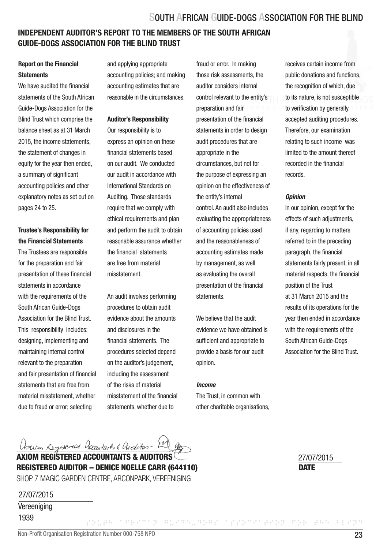#### INDEPENDENT AUDITOR'S REPORT TO THE MEMBERS OF THE SOUTH AFRICAN GUIDE-DOGS ASSOCIATION FOR THE BLIND TRUST

#### Report on the Financial **Statements**

We have audited the financial statements of the South African Guide-Dogs Association for the Blind Trust which comprise the balance sheet as at 31 March 2015, the income statements the statement of changes in equity for the year then ended, a summary of significant accounting policies and other explanatory notes as set out on pages 24 to 25.

#### Trustee's Responsibility for the Financial Statements

The Trustees are responsible for the preparation and fair presentation of these financial statements in accordance with the requirements of the South African Guide-Dogs Association for the Blind Trust. This responsibility includes: designing, implementing and maintaining internal control relevant to the preparation and fair presentation of financial statements that are free from material misstatement, whether due to fraud or error; selecting

and applying appropriate accounting policies; and making accounting estimates that are reasonable in the circumstances.

#### Auditor's Responsibility

Our responsibility is to express an opinion on these financial statements based on our audit. We conducted our audit in accordance with International Standards on Auditing. Those standards require that we comply with ethical requirements and plan and perform the audit to obtain reasonable assurance whether the financial statements are free from material misstatement.

An audit involves performing procedures to obtain audit evidence about the amounts and disclosures in the financial statements. The procedures selected depend on the auditor's judgement, including the assessment of the risks of material misstatement of the financial statements, whether due to

fraud or error. In making those risk assessments, the auditor considers internal control relevant to the entity's preparation and fair presentation of the financial statements in order to design audit procedures that are appropriate in the circumstances, but not for the purpose of expressing an opinion on the effectiveness of the entity's internal control. An audit also includes evaluating the appropriateness of accounting policies used and the reasonableness of accounting estimates made by management, as well as evaluating the overall presentation of the financial statements.

We believe that the audit evidence we have obtained is sufficient and appropriate to provide a basis for our audit opinion.

#### *Income*

The Trust, in common with other charitable organisations,

SOUTH AFRICAN GUIDE-DOGS ASSOCIATION FOR THE BLIND

receives certain income from public donations and functions, the recognition of which, due to its nature, is not susceptible to verification by generally accepted auditing procedures. Therefore, our examination relating to such income was limited to the amount thereof recorded in the financial records.

#### *Opinion*

In our opinion, except for the effects of such adjustments, if any, regarding to matters referred to in the preceding paragraph, the financial statements fairly present, in all material respects, the financial position of the Trust at 31 March 2015 and the results of its operations for the year then ended in accordance with the requirements of the South African Guide-Dogs Association for the Blind Trust.

*Azum Registered Accountants & Auderton - [20]*<br>AXIOM REGISTERED ACCOUNTANTS & AUDITORS

REGISTERED AUDITOR – DENICE NOELLE CARR (644110) SHOP 7 MAGIC GARDEN CENTRE, ARCONPARK, VEREENIGING

27/07/2015

Vereeniging 1939

**DATE** 27/07/2015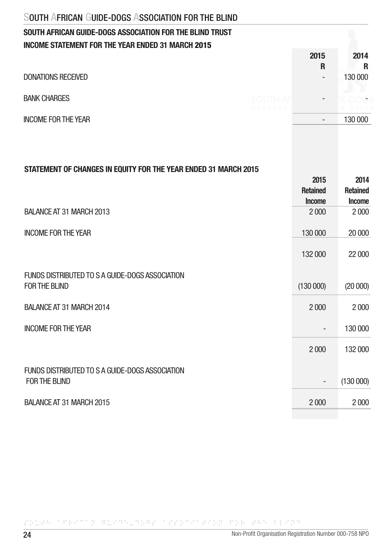### SOUTH AFRICAN GUIDE-DOGS ASSOCIATION FOR THE BLIND TRUST INCOME STATEMENT FOR THE YEAR ENDED 31 MARCH 2015

|                                          | 2015                     | 2014              |
|------------------------------------------|--------------------------|-------------------|
|                                          | R                        | R                 |
| <b>DONATIONS RECEIVED</b>                | $\overline{\phantom{a}}$ | 130 000           |
| <b>BANK CHARGES</b><br><b>SOUTH AF</b>   | $\overline{\phantom{a}}$ | $\overline{a}$    |
| $C$ ssocia<br><b>INCOME FOR THE YEAR</b> | $\overline{\phantom{a}}$ | bilind<br>130 000 |
|                                          |                          |                   |

#### STATEMENT OF CHANGES IN EQUITY FOR THE YEAR ENDED 31 MARCH 2015

|                                                 | 2015            | 2014            |
|-------------------------------------------------|-----------------|-----------------|
|                                                 | <b>Retained</b> | <b>Retained</b> |
|                                                 | <b>Income</b>   | <b>Income</b>   |
| BALANCE AT 31 MARCH 2013                        | 2 0 0 0         | 2000            |
| <b>INCOME FOR THE YEAR</b>                      | 130 000         | 20 000          |
|                                                 | 132 000         | 22 000          |
| FUNDS DISTRIBUTED TO S A GUIDE-DOGS ASSOCIATION |                 |                 |
| FOR THE BLIND                                   | (130000)        | (20000)         |
| BALANCE AT 31 MARCH 2014                        | 2 0 0 0         | 2000            |
| <b>INCOME FOR THE YEAR</b>                      |                 | 130 000         |
|                                                 | 2000            | 132 000         |
| FUNDS DISTRIBUTED TO S A GUIDE-DOGS ASSOCIATION |                 |                 |
| FOR THE BLIND                                   | -               | (130000)        |
| BALANCE AT 31 MARCH 2015                        | 2 0 0 0         | 2000            |
|                                                 |                 |                 |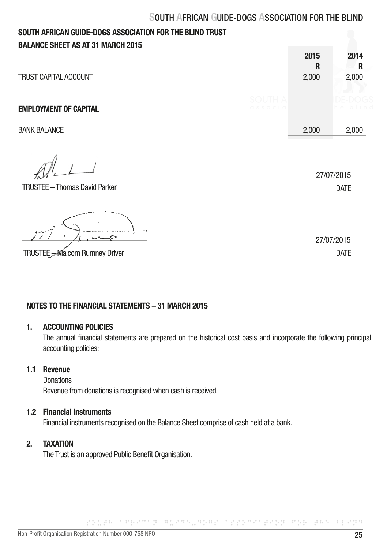| SOUTH AFRICAN GUIDE-DOGS ASSOCIATION FOR THE BLIND TRUST          |                                |                    |                           |
|-------------------------------------------------------------------|--------------------------------|--------------------|---------------------------|
| <b>BALANCE SHEET AS AT 31 MARCH 2015</b><br>TRUST CAPITAL ACCOUNT |                                | 2015<br>R<br>2,000 | 2014<br>R<br>2,000        |
| <b>EMPLOYMENT OF CAPITAL</b>                                      | SOLITH <i>L</i><br>C.S.S. C.C. |                    |                           |
| <b>BANK BALANCE</b>                                               |                                | 2,000              | 2,000                     |
| <b>TRUSTEE - Thomas David Parker</b>                              |                                |                    | 27/07/2015<br><b>DATE</b> |
|                                                                   |                                |                    | 27/07/2015                |
| TRUSTEE - Malcom Rumney Driver                                    |                                |                    | <b>DATE</b>               |

#### NOTES TO THE FINANCIAL STATEMENTS – 31 MARCH 2015

#### 1. ACCOUNTING POLICIES

 The annual financial statements are prepared on the historical cost basis and incorporate the following principal accounting policies:

SOUTH AFRICAN GUIDE-DOGS ASSOCIATION FOR THE BLIND

#### 1.1 Revenue

**Donations** Revenue from donations is recognised when cash is received.

#### 1.2 Financial Instruments

Financial instruments recognised on the Balance Sheet comprise of cash held at a bank.

#### 2. TAXATION

The Trust is an approved Public Benefit Organisation.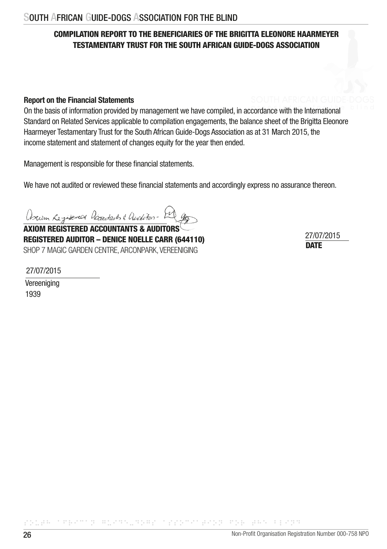#### COMPILATION REPORT TO THE BENEFICIARIES OF THE BRIGITTA ELEONORE HAARMEYER TESTAMENTARY TRUST FOR THE SOUTH AFRICAN GUIDE-DOGS ASSOCIATION

#### Report on the Financial Statements

On the basis of information provided by management we have compiled, in accordance with the International Standard on Related Services applicable to compilation engagements, the balance sheet of the Brigitta Eleonore Haarmeyer Testamentary Trust for the South African Guide-Dogs Association as at 31 March 2015, the income statement and statement of changes equity for the year then ended.

Management is responsible for these financial statements.

We have not audited or reviewed these financial statements and accordingly express no assurance thereon.

Ariun Registered accordants & andetos - El g

**AXIOM REGISTERED ACCOUNTANTS & AUDIT** REGISTERED AUDITOR – DENICE NOELLE CARR (644110) SHOP 7 MAGIC GARDEN CENTRE, ARCONPARK, VEREENIGING DATE DATE DATE

27/07/2015

27/07/2015

Vereeniging 1939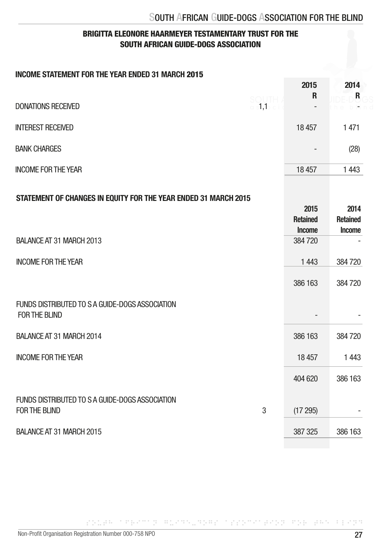#### BRIGITTA ELEONORE HAARMEYER TESTAMENTARY TRUST FOR THE SOUTH AFRICAN GUIDE-DOGS ASSOCIATION

#### INCOME STATEMENT FOR THE YEAR ENDED 31 MARCH 2015

|                                                                       | 2015<br>R                                | 2014<br>R               |
|-----------------------------------------------------------------------|------------------------------------------|-------------------------|
| <b>SOUTH</b><br>$\circ$ s1,1 $\circ$ i<br><b>DONATIONS RECEIVED</b>   |                                          |                         |
| <b>INTEREST RECEIVED</b>                                              | 18 457                                   | 1471                    |
| <b>BANK CHARGES</b>                                                   |                                          | (28)                    |
| <b>INCOME FOR THE YEAR</b>                                            | 18 457                                   | 1443                    |
| STATEMENT OF CHANGES IN EQUITY FOR THE YEAR ENDED 31 MARCH 2015       | 2015<br><b>Retained</b><br><b>Income</b> | 2014<br><b>Retained</b> |
| BALANCE AT 31 MARCH 2013                                              | 384720                                   | Income                  |
| <b>INCOME FOR THE YEAR</b>                                            | 1443                                     | 384720                  |
|                                                                       | 386 163                                  | 384720                  |
| FUNDS DISTRIBUTED TO S A GUIDE-DOGS ASSOCIATION<br>FOR THE BLIND      |                                          |                         |
| BALANCE AT 31 MARCH 2014                                              | 386 163                                  | 384720                  |
| <b>INCOME FOR THE YEAR</b>                                            | 18 457                                   | 1443                    |
|                                                                       | 404 620                                  | 386 163                 |
| FUNDS DISTRIBUTED TO S A GUIDE-DOGS ASSOCIATION<br>FOR THE BLIND<br>3 | (17295)                                  |                         |
| BALANCE AT 31 MARCH 2015                                              | 387 325                                  | 386 163                 |